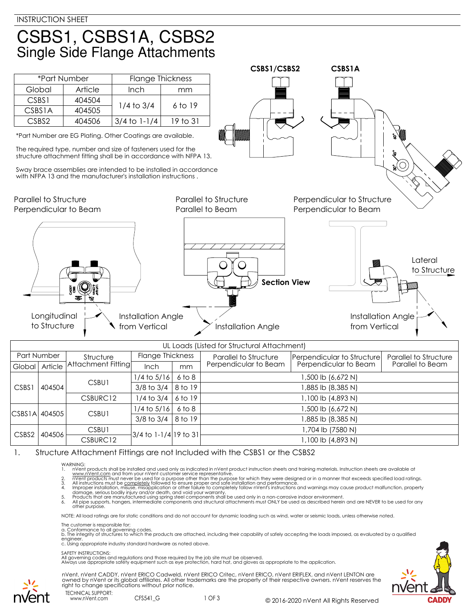## CSBS1, CSBS1A, CSBS2 **Single Side Flange Attachments**

|                                                       |           |                                                                                                                                                                                                                                                                                                                                       |                         | CSBS1/CSBS2                                                      | <b>CSBS1A</b>                                       |                                            |                         |
|-------------------------------------------------------|-----------|---------------------------------------------------------------------------------------------------------------------------------------------------------------------------------------------------------------------------------------------------------------------------------------------------------------------------------------|-------------------------|------------------------------------------------------------------|-----------------------------------------------------|--------------------------------------------|-------------------------|
| *Part Number                                          |           | <b>Flange Thickness</b>                                                                                                                                                                                                                                                                                                               |                         |                                                                  |                                                     |                                            |                         |
| Global                                                | Article   | Inch                                                                                                                                                                                                                                                                                                                                  | mm                      |                                                                  |                                                     |                                            |                         |
| CSBS1                                                 | 404504    | $1/4$ to $3/4$                                                                                                                                                                                                                                                                                                                        | 6 to 19                 |                                                                  |                                                     |                                            |                         |
| <b>CSBS1A</b>                                         | 404505    |                                                                                                                                                                                                                                                                                                                                       |                         |                                                                  |                                                     |                                            |                         |
| CSBS2                                                 | 404506    | $3/4$ to $1-1/4$                                                                                                                                                                                                                                                                                                                      | 19 to 31                |                                                                  |                                                     |                                            |                         |
|                                                       |           | *Part Number are EG Plating. Other Coatings are available.<br>The required type, number and size of fasteners used for the<br>structure attachment fitting shall be in accordance with NFPA 13.<br>Sway brace assemblies are intended to be installed in accordance<br>with NFPA 13 and the manufacturer's installation instructions. |                         |                                                                  |                                                     |                                            |                         |
| <b>Parallel to Structure</b><br>Perpendicular to Beam |           |                                                                                                                                                                                                                                                                                                                                       | Parallel to Beam        | Parallel to Structure                                            | Perpendicular to Structure<br>Perpendicular to Beam |                                            |                         |
| Longitudinal<br>to Structure                          |           | <b>Installation Angle</b><br>from Vertical                                                                                                                                                                                                                                                                                            |                         | $\mathbf{I}$<br><b>Section View</b><br><b>Installation Angle</b> |                                                     | <b>Installation Angle</b><br>from Vertical | Lateral<br>to Structure |
|                                                       |           |                                                                                                                                                                                                                                                                                                                                       |                         | UL Loads (Listed for Structural Attachment)                      |                                                     |                                            |                         |
| Part Number                                           | Structure |                                                                                                                                                                                                                                                                                                                                       | <b>Flange Thickness</b> | <b>Parallel to Structure</b>                                     | Perpendicular to Structure                          |                                            | Parallel to Structure   |

| Part Number                 |          | Structure            | Hange I hickness                   |                                                | Parallel to Structure | Perpendicular to Structure | Parallel to Structure |
|-----------------------------|----------|----------------------|------------------------------------|------------------------------------------------|-----------------------|----------------------------|-----------------------|
| Global Article              |          | Attachment Fitting[  | <b>Inch</b>                        | mm                                             | Perpendicular to Beam | Perpendicular to Beam      | Parallel to Beam      |
|                             |          | CSBU1                | $1/4$ to $5/16$                    | 6 to 8                                         | 1,500 lb (6,672 N)    |                            |                       |
| CSBS1                       | 404504   |                      | $3/8$ to $3/4$                     | 8 to 19                                        |                       | 1,885 lb (8,385 N)         |                       |
|                             |          | CSBURC <sub>12</sub> | $1/4$ to 3/4 $\parallel$           | 6 to 19                                        | 1,100 lb (4,893 N)    |                            |                       |
|                             |          | CSBU1                | $1/4$ to $5/16$                    | 6 to 8                                         |                       | 1,500 lb (6,672 N)         |                       |
| CSBS1A 404505               |          |                      |                                    | $3/8$ to $3/4$   8 to 19<br>1,885 lb (8,385 N) |                       |                            |                       |
| CSBS <sub>2</sub><br>404506 |          | CSBU1                | 3/4 to 1-1/4 19 to 31 <del>l</del> |                                                | I,704 lb (7580 N)     |                            |                       |
|                             | CSBURC12 |                      |                                    | 1,100 lb (4,893 N)                             |                       |                            |                       |

1. Structure Attachment Fittings are not Included with the CSBS1 or the CSBS2

- 
- 
- 
- WARNING:<br>
1. Note that products shall be installed and used only as indicated in nVent product instruction sheets and training materials. Instruction sheets are available at<br>
1. www.nVent.com and from your nVent customer s

NOTE: All load ratings are for static conditions and do not account for dynamic loading such as wind, water or seismic loads, unless otherwise noted.

The customer is responsible for:

a. Conformance to all governing codes.<br>b. The integrity of structures to which the products are attached, including their capability of safely accepting the loads imposed, as evaluated by a qualified engineer. c. Using appropriate industry standard hardware as noted above.

## SAFETY INSTRUCTIONS:

All governing codes and regulations and those required by the job site must be observed. Always use appropriate safety equipment such as eye protection, hard hat, and gloves as appropriate to the application.



nVent, nVent CADDY, nVent ERICO Cadweld, nVent ERICO Critec, nVent ERICO, nVent ERIFLEX, and nVent LENTON are owned by nVent or its global affiliates. All other trademarks are the property of their respective owners. nVent reserves the right to change specifications without prior notice.

TECHNICAL SUPPORT: www.nVent.com CFS541\_G

1 OF 3 © 2016-2020 nVent All Rights Reserved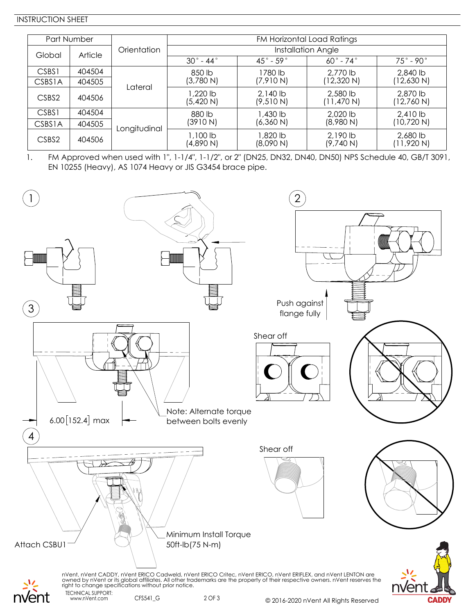## INSTRUCTION SHEET

| Part Number       |         |              | FM Horizontal Load Ratings |                          |                          |                          |  |  |  |
|-------------------|---------|--------------|----------------------------|--------------------------|--------------------------|--------------------------|--|--|--|
| Global            | Article | Orientation  | Installation Angle         |                          |                          |                          |  |  |  |
|                   |         |              | $30^\circ$ - 44 $^\circ$   | $45^\circ$ - 59 $^\circ$ | $60^\circ$ - 74 $^\circ$ | $75^\circ$ - 90 $^\circ$ |  |  |  |
| CSBS1             | 404504  |              | 850 lb                     | 1780 lb                  | 2,770 lb                 | 2,840 lb                 |  |  |  |
| <b>CSBS1A</b>     | 404505  | Lateral      | (3,780 N)                  | (7,910 N)                | (12,320 N)               | (12,630 N)               |  |  |  |
| CSBS2             | 404506  |              | J.220 lb<br>(5,420 N)      | $2,140$ lb<br>(9,510 N)  | 2,580 lb<br>(11, 470 N)  | 2,870 lb<br>(12,760 N)   |  |  |  |
| CSBS1             | 404504  | Longitudinal | 880 lb                     | 1,430 lb                 | 2,020 lb                 | 2,410 lb                 |  |  |  |
| <b>CSBS1A</b>     | 404505  |              | (3910 N)                   | (6,360 N)                | (8,980 N)                | (10,720 N)               |  |  |  |
| CSBS <sub>2</sub> | 404506  |              | 1,100 lb<br>(4,890 N)      | l ,820 lb<br>(8,090 N)   | $2,190$ lb<br>(9,740 N)  | 2,680 lb<br>(11,920 N)   |  |  |  |

1. FM Approved when used with 1", 1-1/4", 1-1/2", or 2" (DN25, DN32, DN40, DN50) NPS Schedule 40, GB/T 3091, EN 10255 (Heavy), AS 1074 Heavy or JIS G3454 brace pipe.